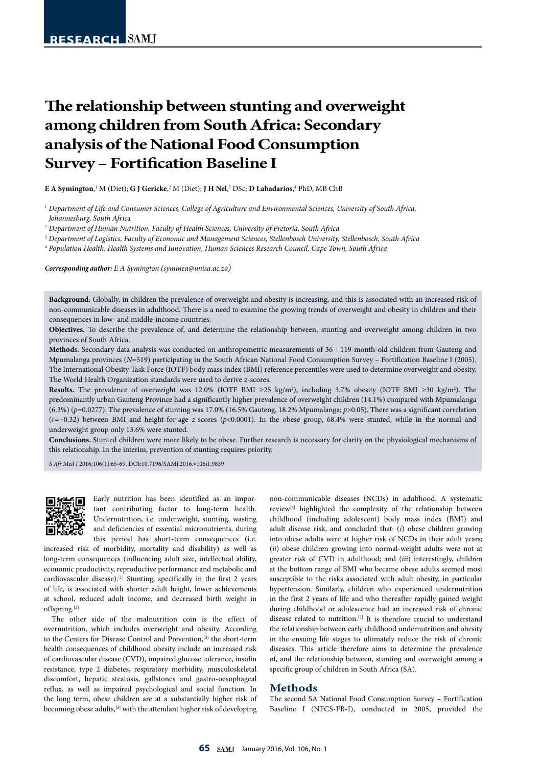# **The relationship between stunting and overweight among children from South Africa: Secondary analysis of the National Food Consumption Survey – Fortification Baseline I**

 ${\bf E}$  **A Symington,'**  ${\rm M}$  (Diet);  ${\bf G}$  J Gericke, $^2$   ${\rm M}$  (Diet); J **H Nel,** $^3$  DSc;  ${\bf D}$  Labadarios, $^4$  PhD,  ${\rm MB}$  ChB

<sup>1</sup> *Department of Life and Consumer Sciences, College of Agriculture and Environmental Sciences, University of South Africa, Johannesburg, South Afric*a

<sup>2</sup> *Department of Human Nutrition, Faculty of Health Sciences, University of Pretoria, South Africa*

<sup>3</sup> *Department of Logistics, Faculty of Economic and Management Sciences, Stellenbosch University, Stellenbosch, South Africa*

<sup>4</sup> *Population Health, Health Systems and Innovation, Human Sciences Research Council, Cape Town, South Africa*

*Corresponding author: E A Symington (syminea@unisa.ac.za)*

Background. Globally, in children the prevalence of overweight and obesity is increasing, and this is associated with an increased risk of non-communicable diseases in adulthood. There is a need to examine the growing trends of overweight and obesity in children and their consequences in low- and middle-income countries.

**Objectives.** To describe the prevalence of, and determine the relationship between, stunting and overweight among children in two provinces of South Africa.

**Methods.** Secondary data analysis was conducted on anthropometric measurements of 36 - 119-month-old children from Gauteng and Mpumalanga provinces (*N*=519) participating in the South African National Food Consumption Survey – Fortification Baseline I (2005). The International Obesity Task Force (IOTF) body mass index (BMI) reference percentiles were used to determine overweight and obesity. The World Health Organization standards were used to derive *z*-scores.

**Results.** The prevalence of overweight was 12.0% (IOTF BMI ≥25 kg/m2 ), including 3.7% obesity (IOTF BMI ≥30 kg/m2 ). The predominantly urban Gauteng Province had a significantly higher prevalence of overweight children (14.1%) compared with Mpumalanga (6.3%) (*p*=0.0277). The prevalence of stunting was 17.0% (16.5% Gauteng, 18.2% Mpumalanga; *p*>0.05). There was a significant correlation (*r=*−0.32) between BMI and height-for-age *z*-scores (*p*<0.0001). In the obese group, 68.4% were stunted, while in the normal and underweight group only 13.6% were stunted.

**Conclusions.** Stunted children were more likely to be obese. Further research is necessary for clarity on the physiological mechanisms of this relationship. In the interim, prevention of stunting requires priority.

*S Afr Med J* 2016;106(1):65-69. DOI:10.7196/SAMJ.2016.v106i1.9839



Early nutrition has been identified as an important contributing factor to long-term health. Undernutrition, i.e. underweight, stunting, wasting and deficiencies of essential micronutrients, during this period has short-term consequences (i.e.

increased risk of morbidity, mortality and disability) as well as long-term consequences (influencing adult size, intellectual ability, economic productivity, reproductive performance and metabolic and cardiovascular disease).<sup>[1]</sup> Stunting, specifically in the first 2 years of life, is associated with shorter adult height, lower achievements at school, reduced adult income, and decreased birth weight in offspring.[2]

The other side of the malnutrition coin is the effect of overnutrition, which includes overweight and obesity. According to the Centers for Disease Control and Prevention,<sup>[3]</sup> the short-term health consequences of childhood obesity include an increased risk of cardiovascular disease (CVD), impaired glucose tolerance, insulin resistance, type 2 diabetes, respiratory morbidity, musculoskeletal discomfort, hepatic steatosis, gallstones and gastro-oesophageal reflux, as well as impaired psychological and social function. In the long term, obese children are at a substantially higher risk of becoming obese adults,<sup>[3]</sup> with the attendant higher risk of developing non-communicable diseases (NCDs) in adulthood. A systematic review[4] highlighted the complexity of the relationship between childhood (including adolescent) body mass index (BMI) and adult disease risk, and concluded that: (*i*) obese children growing into obese adults were at higher risk of NCDs in their adult years; (*ii*) obese children growing into normal-weight adults were not at greater risk of CVD in adulthood; and (*iii*) interestingly, children at the bottom range of BMI who became obese adults seemed most susceptible to the risks associated with adult obesity, in particular hypertension. Similarly, children who experienced undernutrition in the first 2 years of life and who thereafter rapidly gained weight during childhood or adolescence had an increased risk of chronic disease related to nutrition.<sup>[2]</sup> It is therefore crucial to understand the relationship between early childhood undernutrition and obesity in the ensuing life stages to ultimately reduce the risk of chronic diseases. This article therefore aims to determine the prevalence of, and the relationship between, stunting and overweight among a specific group of children in South Africa (SA).

#### **Methods**

The second SA National Food Consumption Survey – Fortification Baseline I (NFCS-FB-I), conducted in 2005, provided the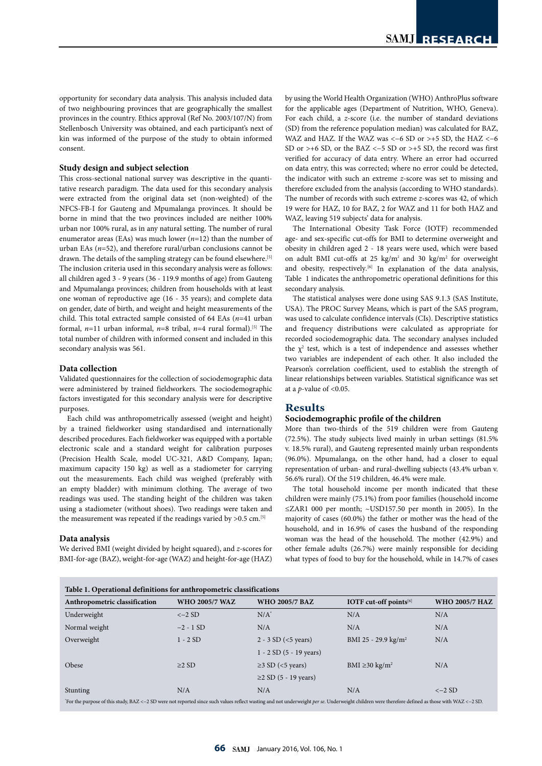opportunity for secondary data analysis. This analysis included data of two neighbouring provinces that are geographically the smallest provinces in the country. Ethics approval (Ref No. 2003/107/N) from Stellenbosch University was obtained, and each participant's next of kin was informed of the purpose of the study to obtain informed consent.

### **Study design and subject selection**

This cross-sectional national survey was descriptive in the quantitative research paradigm. The data used for this secondary analysis were extracted from the original data set (non-weighted) of the NFCS-FB-I for Gauteng and Mpumalanga provinces. It should be borne in mind that the two provinces included are neither 100% urban nor 100% rural, as in any natural setting. The number of rural enumerator areas (EAs) was much lower (*n*=12) than the number of urban EAs (*n*=52), and therefore rural/urban conclusions cannot be drawn. The details of the sampling strategy can be found elsewhere.<sup>[5]</sup> The inclusion criteria used in this secondary analysis were as follows: all children aged 3 - 9 years (36 - 119.9 months of age) from Gauteng and Mpumalanga provinces; children from households with at least one woman of reproductive age (16 - 35 years); and complete data on gender, date of birth, and weight and height measurements of the child. This total extracted sample consisted of 64 EAs (*n*=41 urban formal,  $n=11$  urban informal,  $n=8$  tribal,  $n=4$  rural formal).<sup>[5]</sup> The total number of children with informed consent and included in this secondary analysis was 561.

#### **Data collection**

Validated questionnaires for the collection of sociodemographic data were administered by trained fieldworkers. The sociodemographic factors investigated for this secondary analysis were for descriptive purposes.

Each child was anthropometrically assessed (weight and height) by a trained fieldworker using standardised and internationally described procedures. Each fieldworker was equipped with a portable electronic scale and a standard weight for calibration purposes (Precision Health Scale, model UC-321, A&D Company, Japan; maximum capacity 150 kg) as well as a stadiometer for carrying out the measurements. Each child was weighed (preferably with an empty bladder) with minimum clothing. The average of two readings was used. The standing height of the children was taken using a stadiometer (without shoes). Two readings were taken and the measurement was repeated if the readings varied by  $>0.5$  cm.<sup>[5]</sup>

#### **Data analysis**

We derived BMI (weight divided by height squared), and *z*-scores for BMI-for-age (BAZ), weight-for-age (WAZ) and height-for-age (HAZ)

by using the World Health Organization (WHO) AnthroPlus software for the applicable ages (Department of Nutrition, WHO, Geneva). For each child, a *z*-score (i.e. the number of standard deviations (SD) from the reference population median) was calculated for BAZ, WAZ and HAZ. If the WAZ was < $-6$  SD or >+5 SD, the HAZ < $-6$ SD or >+6 SD, or the BAZ < $-5$  SD or >+5 SD, the record was first verified for accuracy of data entry. Where an error had occurred on data entry, this was corrected; where no error could be detected, the indicator with such an extreme *z*-score was set to missing and therefore excluded from the analysis (according to WHO standards). The number of records with such extreme *z*-scores was 42, of which 19 were for HAZ, 10 for BAZ, 2 for WAZ and 11 for both HAZ and WAZ, leaving 519 subjects' data for analysis.

The International Obesity Task Force (IOTF) recommended age- and sex-specific cut-offs for BMI to determine overweight and obesity in children aged 2 - 18 years were used, which were based on adult BMI cut-offs at 25  $\text{kg/m}^2$  and 30  $\text{kg/m}^2$  for overweight and obesity, respectively*.* [6] In explanation of the data analysis, Table 1 indicates the anthropometric operational definitions for this secondary analysis.

The statistical analyses were done using SAS 9.1.3 (SAS Institute, USA). The PROC Survey Means, which is part of the SAS program, was used to calculate confidence intervals (CIs). Descriptive statistics and frequency distributions were calculated as appropriate for recorded sociodemographic data. The secondary analyses included the  $\chi^2$  test, which is a test of independence and assesses whether two variables are independent of each other. It also included the Pearson's correlation coefficient, used to establish the strength of linear relationships between variables. Statistical significance was set at a *p*-value of <0.05.

# **Results**

# **Sociodemographic profile of the children**

More than two-thirds of the 519 children were from Gauteng (72.5%). The study subjects lived mainly in urban settings (81.5% v. 18.5% rural), and Gauteng represented mainly urban respondents (96.0%). Mpumalanga, on the other hand, had a closer to equal representation of urban- and rural-dwelling subjects (43.4% urban v. 56.6% rural). Of the 519 children, 46.4% were male.

The total household income per month indicated that these children were mainly (75.1%) from poor families (household income ≤ZAR1 000 per month; ~USD157.50 per month in 2005). In the majority of cases (60.0%) the father or mother was the head of the household, and in 16.9% of cases the husband of the responding woman was the head of the household. The mother (42.9%) and other female adults (26.7%) were mainly responsible for deciding what types of food to buy for the household, while in 14.7% of cases

| Table 1. Operational definitions for anthropometric classifications                                                                                                                             |                       |                                |                                 |                       |  |  |
|-------------------------------------------------------------------------------------------------------------------------------------------------------------------------------------------------|-----------------------|--------------------------------|---------------------------------|-----------------------|--|--|
| Anthropometric classification                                                                                                                                                                   | <b>WHO 2005/7 WAZ</b> | <b>WHO 2005/7 BAZ</b>          | IOTF cut-off points $[6]$       | <b>WHO 2005/7 HAZ</b> |  |  |
| Underweight                                                                                                                                                                                     | $<-2$ SD              | $N/A^*$                        | N/A                             | N/A                   |  |  |
| Normal weight                                                                                                                                                                                   | $-2 - 1$ SD           | N/A                            | N/A                             | N/A                   |  |  |
| Overweight                                                                                                                                                                                      | $1 - 2SD$             | $2 - 3 SD (< 5 \text{ years})$ | BMI 25 - 29.9 kg/m <sup>2</sup> | N/A                   |  |  |
|                                                                                                                                                                                                 |                       | $1 - 2$ SD (5 - 19 years)      |                                 |                       |  |  |
| Obese                                                                                                                                                                                           | $\geq$ 2 SD           | $\geq$ 3 SD (<5 years)         | BMI $\geq$ 30 kg/m <sup>2</sup> | N/A                   |  |  |
|                                                                                                                                                                                                 |                       | $\geq$ 2 SD (5 - 19 years)     |                                 |                       |  |  |
| Stunting                                                                                                                                                                                        | N/A                   | N/A                            | N/A                             | $<-2$ SD              |  |  |
| For the purpose of this study, BAZ <-2 SD were not reported since such values reflect wasting and not underweight per se. Underweight children were therefore defined as those with WAZ <-2 SD. |                       |                                |                                 |                       |  |  |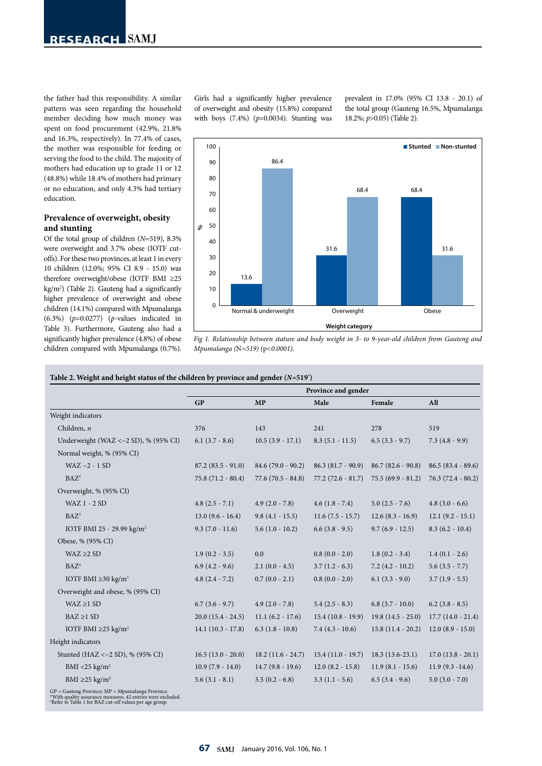the father had this responsibility. A similar pattern was seen regarding the household member deciding how much money was spent on food procurement (42.9%, 21.8% and 16.3%, respectively). In 77.4% of cases, the mother was responsible for feeding or serving the food to the child. The majority of mothers had education up to grade 11 or 12 (48.8%) while 18.4% of mothers had primary or no education, and only 4.3% had tertiary education.

# **Prevalence of overweight, obesity and stunting**

Of the total group of children (*N*=519), 8.3% were overweight and 3.7% obese (IOTF cutoffs). For these two provinces, at least 1 in every 10 children (12.0%; 95% CI 8.9 - 15.0) was therefore overweight/obese (IOTF BMI ≥25 kg/m2 ) (Table 2). Gauteng had a significantly higher prevalence of overweight and obese children (14.1%) compared with Mpumalanga (6.3%) (*p*=0.0277) (*p*-values indicated in Table 3). Furthermore, Gauteng also had a significantly higher prevalence (4.8%) of obese children compared with Mpumalanga (0.7%).

Girls had a significantly higher prevalence of overweight and obesity (15.8%) compared with boys (7.4%) (*p*=0.0034). Stunting was prevalent in 17.0% (95% CI 13.8 - 20.1) of the total group (Gauteng 16.5%, Mpumalanga 18.2%; *p*>0.05) (Table 2).



*Fig 1. Relationship between stature and body weight in 3- to 9-year-old children from Gauteng and Mpumalanga (*N*=519) (*p*<0.0001).*

#### **Table 2. Weight and height status of the children by province and gender (***N=***519\* )**

|                                                                   | Province and gender  |                     |                     |                     |                     |
|-------------------------------------------------------------------|----------------------|---------------------|---------------------|---------------------|---------------------|
|                                                                   | GP                   | MP                  | Male                | Female              | All                 |
| Weight indicators                                                 |                      |                     |                     |                     |                     |
| Children, $n$                                                     | 376                  | 143                 | 241                 | 278                 | 519                 |
| Underweight (WAZ < $-2$ SD), % (95% CI)                           | $6.1(3.7 - 8.6)$     | $10.5(3.9 - 17.1)$  | $8.3(5.1 - 11.5)$   | $6.5(3.3 - 9.7)$    | $7.3(4.8-9.9)$      |
| Normal weight, % (95% CI)                                         |                      |                     |                     |                     |                     |
| $WAZ - 2 - 1 SD$                                                  | $87.2 (83.5 - 91.0)$ | $84.6(79.0 - 90.2)$ | $86.3(81.7-90.9)$   | $86.7(82.6 - 90.8)$ | $86.5(83.4 - 89.6)$ |
| $BAZ^{\dagger}$                                                   | $75.8(71.2 - 80.4)$  | $77.6(70.5 - 84.8)$ | $77.2(72.6 - 81.7)$ | $75.5(69.9 - 81.2)$ | $76.3(72.4 - 80.2)$ |
| Overweight, % (95% CI)                                            |                      |                     |                     |                     |                     |
| <b>WAZ 1 - 2 SD</b>                                               | $4.8(2.5 - 7.1)$     | $4.9(2.0 - 7.8)$    | $4.6(1.8 - 7.4)$    | $5.0$ $(2.5 - 7.6)$ | $4.8(3.0 - 6.6)$    |
| $BAZ^{\dagger}$                                                   | $13.0(9.6 - 16.4)$   | $9.8(4.1 - 15.5)$   | $11.6(7.5 - 15.7)$  | $12.6(8.3 - 16.9)$  | $12.1 (9.2 - 15.1)$ |
| IOTF BMI 25 - 29.99 kg/m <sup>2</sup>                             | $9.3(7.0 - 11.6)$    | $5.6(1.0 - 10.2)$   | $6.6(3.8 - 9.5)$    | $9.7(6.9 - 12.5)$   | $8.3(6.2 - 10.4)$   |
| Obese, % (95% CI)                                                 |                      |                     |                     |                     |                     |
| WAZ $\geq$ 2 SD                                                   | $1.9(0.2 - 3.5)$     | 0.0                 | $0.8(0.0 - 2.0)$    | $1.8(0.2 - 3.4)$    | $1.4(0.1 - 2.6)$    |
| $BAZ^{\dagger}$                                                   | $6.9(4.2 - 9.6)$     | $2.1(0.0 - 4.5)$    | $3.7(1.2 - 6.3)$    | $7.2(4.2 - 10.2)$   | $5.6(3.5 - 7.7)$    |
| IOTF BMI $\geq$ 30 kg/m <sup>2</sup>                              | $4.8(2.4 - 7.2)$     | $0.7(0.0 - 2.1)$    | $0.8(0.0 - 2.0)$    | $6.1(3.3 - 9.0)$    | $3.7(1.9 - 5.5)$    |
| Overweight and obese, % (95% CI)                                  |                      |                     |                     |                     |                     |
| $WAZ \geq 1 SD$                                                   | $6.7(3.6 - 9.7)$     | $4.9(2.0 - 7.8)$    | $5.4(2.5 - 8.3)$    | $6.8(3.7 - 10.0)$   | $6.2$ (3.8 - 8.5)   |
| $BAZ \geq 1 SD$                                                   | $20.0(15.4 - 24.5)$  | $11.1(6.2 - 17.6)$  | $15.4(10.8 - 19.9)$ | $19.8(14.5 - 25.0)$ | $17.7(14.0 - 21.4)$ |
| IOTF BMI $\geq$ 25 kg/m <sup>2</sup>                              | $14.1(10.3 - 17.8)$  | $6.3(1.8-10.8)$     | $7.4(4.3-10.6)$     | $15.8(11.4 - 20.2)$ | $12.0(8.9 - 15.0)$  |
| Height indicators                                                 |                      |                     |                     |                     |                     |
| Stunted (HAZ <-2 SD), % (95% CI)                                  | $16.5(13.0 - 20.0)$  | $18.2(11.6 - 24.7)$ | $15.4(11.0 - 19.7)$ | $18.3(13.6-23.1)$   | $17.0(13.8 - 20.1)$ |
| BMI <25 kg/m <sup>2</sup>                                         | $10.9(7.9 - 14.0)$   | $14.7(9.8 - 19.6)$  | $12.0(8.2 - 15.8)$  | $11.9(8.1 - 15.6)$  | $11.9(9.3 - 14.6)$  |
| BMI $\geq$ 25 kg/m <sup>2</sup>                                   | $5.6(3.1 - 8.1)$     | $3.5(0.2 - 6.8)$    | $3.3(1.1 - 5.6)$    | $6.5(3.4-9.6)$      | $5.0(3.0 - 7.0)$    |
| $GP =$ Gauteng Province; $MP = Mpumalanga$ Province.<br>$1.1 - 1$ |                      |                     |                     |                     |                     |

\*With quality assurance measures, 42 entries were excluded. † Refer to Table 1 for BAZ cut-off values per age group.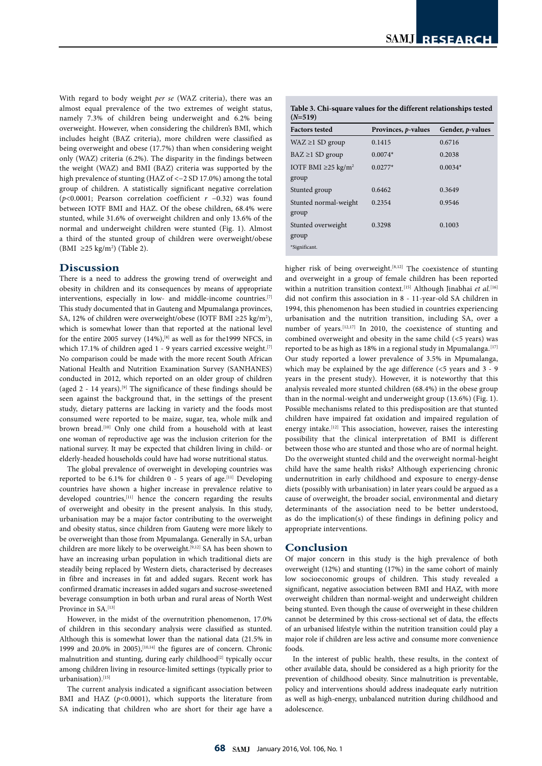With regard to body weight *per se* (WAZ criteria), there was an almost equal prevalence of the two extremes of weight status, namely 7.3% of children being underweight and 6.2% being overweight. However, when considering the children's BMI, which includes height (BAZ criteria), more children were classified as being overweight and obese (17.7%) than when considering weight only (WAZ) criteria (6.2%). The disparity in the findings between the weight (WAZ) and BMI (BAZ) criteria was supported by the high prevalence of stunting (HAZ of <−2 SD 17.0%) among the total group of children. A statistically significant negative correlation (*p*<0.0001; Pearson correlation coefficient *r* −0.32) was found between IOTF BMI and HAZ. Of the obese children, 68.4% were stunted, while 31.6% of overweight children and only 13.6% of the normal and underweight children were stunted (Fig. 1). Almost a third of the stunted group of children were overweight/obese (BMI ≥25 kg/m<sup>2</sup>) (Table 2).

# **Discussion**

There is a need to address the growing trend of overweight and obesity in children and its consequences by means of appropriate interventions, especially in low- and middle-income countries.[7] This study documented that in Gauteng and Mpumalanga provinces, SA, 12% of children were overweight/obese (IOTF BMI ≥25 kg/m<sup>2</sup>), which is somewhat lower than that reported at the national level for the entire 2005 survey  $(14\%)$ ,<sup>[8]</sup> as well as for the1999 NFCS, in which 17.1% of children aged  $1 - 9$  years carried excessive weight.<sup>[7]</sup> No comparison could be made with the more recent South African National Health and Nutrition Examination Survey (SANHANES) conducted in 2012, which reported on an older group of children (aged 2 - 14 years).[9] The significance of these findings should be seen against the background that, in the settings of the present study, dietary patterns are lacking in variety and the foods most consumed were reported to be maize, sugar, tea, whole milk and brown bread.<sup>[10]</sup> Only one child from a household with at least one woman of reproductive age was the inclusion criterion for the national survey. It may be expected that children living in child- or elderly-headed households could have had worse nutritional status.

The global prevalence of overweight in developing countries was reported to be 6.1% for children  $0$  - 5 years of age.<sup>[11]</sup> Developing countries have shown a higher increase in prevalence relative to developed countries,<sup>[11]</sup> hence the concern regarding the results of overweight and obesity in the present analysis. In this study, urbanisation may be a major factor contributing to the overweight and obesity status, since children from Gauteng were more likely to be overweight than those from Mpumalanga. Generally in SA, urban children are more likely to be overweight.<sup>[9,12]</sup> SA has been shown to have an increasing urban population in which traditional diets are steadily being replaced by Western diets, characterised by decreases in fibre and increases in fat and added sugars. Recent work has confirmed dramatic increases in added sugars and sucrose-sweetened beverage consumption in both urban and rural areas of North West Province in SA.<sup>[13]</sup>

However, in the midst of the overnutrition phenomenon, 17.0% of children in this secondary analysis were classified as stunted. Although this is somewhat lower than the national data (21.5% in 1999 and 20.0% in 2005), $[10,14]$  the figures are of concern. Chronic malnutrition and stunting, during early childhood<sup>[2]</sup> typically occur among children living in resource-limited settings (typically prior to urbanisation).[15]

The current analysis indicated a significant association between BMI and HAZ (p<0.0001), which supports the literature from SA indicating that children who are short for their age have a

|           | Table 3. Chi-square values for the different relationships tested |
|-----------|-------------------------------------------------------------------|
| $(N=519)$ |                                                                   |

| <b>Factors tested</b>                         | Provinces, <i>p</i> -values | Gender, <i>p</i> -values |
|-----------------------------------------------|-----------------------------|--------------------------|
| $WAZ \geq 1 SD$ group                         | 0.1415                      | 0.6716                   |
| $BAZ \geq 1 SD$ group                         | $0.0074*$                   | 0.2038                   |
| IOTF BMI $\geq$ 25 kg/m <sup>2</sup><br>group | $0.0277*$                   | $0.0034*$                |
| Stunted group                                 | 0.6462                      | 0.3649                   |
| Stunted normal-weight<br>group                | 0.2354                      | 0.9546                   |
| Stunted overweight<br>group                   | 0.3298                      | 0.1003                   |
| *Significant.                                 |                             |                          |

higher risk of being overweight.<sup>[8,12]</sup> The coexistence of stunting and overweight in a group of female children has been reported within a nutrition transition context.<sup>[15]</sup> Although Jinabhai et al.<sup>[16]</sup> did not confirm this association in 8 - 11-year-old SA children in 1994, this phenomenon has been studied in countries experiencing urbanisation and the nutrition transition, including SA, over a number of years.[12,17] In 2010, the coexistence of stunting and combined overweight and obesity in the same child (<5 years) was reported to be as high as 18% in a regional study in Mpumalanga.<sup>[17]</sup> Our study reported a lower prevalence of 3.5% in Mpumalanga, which may be explained by the age difference (<5 years and 3 - 9 years in the present study). However, it is noteworthy that this analysis revealed more stunted children (68.4%) in the obese group than in the normal-weight and underweight group (13.6%) (Fig. 1). Possible mechanisms related to this predisposition are that stunted children have impaired fat oxidation and impaired regulation of energy intake.<sup>[12]</sup> This association, however, raises the interesting possibility that the clinical interpretation of BMI is different between those who are stunted and those who are of normal height. Do the overweight stunted child and the overweight normal-height child have the same health risks? Although experiencing chronic undernutrition in early childhood and exposure to energy-dense diets (possibly with urbanisation) in later years could be argued as a cause of overweight, the broader social, environmental and dietary determinants of the association need to be better understood, as do the implication(s) of these findings in defining policy and appropriate interventions.

# **Conclusion**

Of major concern in this study is the high prevalence of both overweight (12%) and stunting (17%) in the same cohort of mainly low socioeconomic groups of children. This study revealed a significant, negative association between BMI and HAZ, with more overweight children than normal-weight and underweight children being stunted. Even though the cause of overweight in these children cannot be determined by this cross-sectional set of data, the effects of an urbanised lifestyle within the nutrition transition could play a major role if children are less active and consume more convenience foods.

In the interest of public health, these results, in the context of other available data, should be considered as a high priority for the prevention of childhood obesity. Since malnutrition is preventable, policy and interventions should address inadequate early nutrition as well as high-energy, unbalanced nutrition during childhood and adolescence.